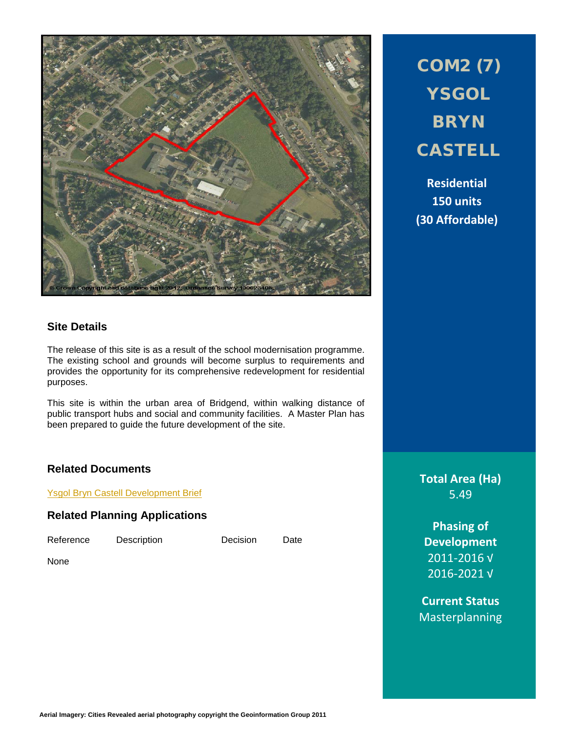

COM2 (7) **YSGOL BRYN** CASTELL

**Residential 150 units (30 Affordable)**

## **Site Details**

The release of this site is as a result of the school modernisation programme. The existing school and grounds will become surplus to requirements and provides the opportunity for its comprehensive redevelopment for residential purposes.

This site is within the urban area of Bridgend, within walking distance of public transport hubs and social and community facilities. A Master Plan has been prepared to guide the future development of the site.

# **Related Documents**

Ysgol [Bryn Castell Development Brief](http://www1.bridgend.gov.uk/media/209353/ybc-final.pdf)

# **Related Planning Applications**

Reference Description Decision Date

None

**Aerial Imagery: Cities Revealed aerial photography copyright the Geoinformation Group 2011**

**Total Area (Ha)** 5.49

**Phasing of Development** 2011-2016 √ 2016-2021 √

**Current Status** Masterplanning